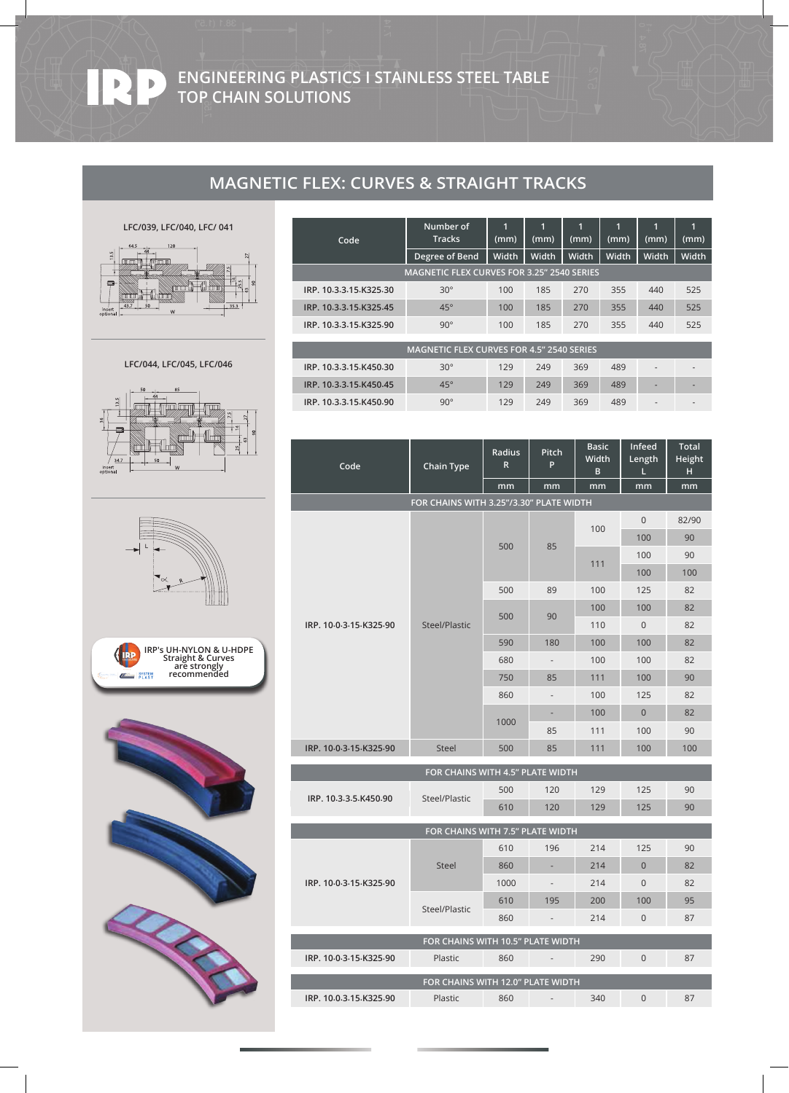**ENGINEERING PLASTICS I STAINLESS STEEL TABLE TOP CHAIN SOLUTIONS**

# **MAGNETIC FLEX: CURVES & STRAIGHT TRACKS**

## **LFC/039, LFC/040, LFC/ 041**

 $\mathbf{E}$ 



|                                                   | Number of      |       | г<br>и       |              | и     | п            |                          |
|---------------------------------------------------|----------------|-------|--------------|--------------|-------|--------------|--------------------------|
| Code                                              | <b>Tracks</b>  | (mm)  | (mm)         | (mm)         | (mm)  | (mm)         | (mm)                     |
|                                                   | Degree of Bend | Width | <b>Width</b> | <b>Width</b> | Width | <b>Width</b> | Width                    |
| <b>MAGNETIC FLEX CURVES FOR 3.25" 2540 SERIES</b> |                |       |              |              |       |              |                          |
| IRP. 10.3.3.15.K325.30                            | $30^\circ$     | 100   | 185          | 270          | 355   | 440          | 525                      |
| IRP. 10-3-3-15-K325-45                            | $45^\circ$     | 100   | 185          | 270          | 355   | 440          | 525                      |
| IRP. 10-3-3-15-K325-90                            | $90^\circ$     | 100   | 185          | 270          | 355   | 440          | 525                      |
|                                                   |                |       |              |              |       |              |                          |
| <b>MAGNETIC FLEX CURVES FOR 4.5" 2540 SERIES</b>  |                |       |              |              |       |              |                          |
| IRP. 10-3-3-15-K450-30                            | $30^\circ$     | 129   | 249          | 369          | 489   |              |                          |
| IRP. 10-3-3-15-K450-45                            | $45^\circ$     | 129   | 249          | 369          | 489   | ٠            | $\overline{\phantom{a}}$ |
| IRP. 10.3.3.15.K450.90                            | $90^\circ$     | 129   | 249          | 369          | 489   |              |                          |

| $\overline{\text{Code}}$          | <b>Chain Type</b>                       | Radius<br>R | Pitch<br>P               | <b>Basic</b><br>Width | <b>Infeed</b><br>Length | Total<br>Height |  |  |
|-----------------------------------|-----------------------------------------|-------------|--------------------------|-----------------------|-------------------------|-----------------|--|--|
|                                   |                                         | mm          | mm                       | B<br>mm               | L<br>mm                 | н<br>mm         |  |  |
|                                   | FOR CHAINS WITH 3.25"/3.30" PLATE WIDTH |             |                          |                       |                         |                 |  |  |
|                                   | Steel/Plastic                           | 500         | 85                       |                       | $\mathbf{0}$            | 82/90           |  |  |
|                                   |                                         |             |                          | 100                   | 100                     | 90              |  |  |
|                                   |                                         |             |                          |                       | 100                     | 90              |  |  |
|                                   |                                         |             |                          | 111                   | 100                     | 100             |  |  |
|                                   |                                         | 500         | 89                       | 100                   | 125                     | 82              |  |  |
| IRP. 10-0-3-15-K325-90            |                                         | 500         | 90                       | 100                   | 100                     | 82              |  |  |
|                                   |                                         |             |                          | 110                   | $\mathbf 0$             | 82              |  |  |
|                                   |                                         | 590         | 180                      | 100                   | 100                     | 82              |  |  |
|                                   |                                         | 680         | $\sim$                   | 100                   | 100                     | 82              |  |  |
|                                   |                                         | 750         | 85                       | 111                   | 100                     | 90              |  |  |
|                                   |                                         | 860         | $\overline{\phantom{a}}$ | 100                   | 125                     | 82              |  |  |
|                                   |                                         | 1000        | ۰                        | 100                   | $\overline{0}$          | 82              |  |  |
|                                   |                                         |             | 85                       | 111                   | 100                     | 90              |  |  |
| IRP. 10-0-3-15-K325-90            | Steel                                   | 500         | 85                       | 111                   | 100                     | 100             |  |  |
| FOR CHAINS WITH 4.5" PLATE WIDTH  |                                         |             |                          |                       |                         |                 |  |  |
| IRP. 10.3.3.5.K450.90             | Steel/Plastic                           | 500         | 120                      | 129                   | 125                     | 90              |  |  |
|                                   |                                         | 610         | 120                      | 129                   | 125                     | 90              |  |  |
| FOR CHAINS WITH 7.5" PLATE WIDTH  |                                         |             |                          |                       |                         |                 |  |  |
| IRP. 10-0-3-15-K325-90            | <b>Steel</b>                            | 610         | 196                      | 214                   | 125                     | 90              |  |  |
|                                   |                                         | 860         |                          | 214                   | $\overline{0}$          | 82              |  |  |
|                                   |                                         | 1000        |                          | 214                   | $\Omega$                | 82              |  |  |
|                                   | Steel/Plastic                           | 610         | 195                      | 200                   | 100                     | 95              |  |  |
|                                   |                                         | 860         |                          | 214                   | $\mathsf{O}\xspace$     | 87              |  |  |
| FOR CHAINS WITH 10.5" PLATE WIDTH |                                         |             |                          |                       |                         |                 |  |  |
| IRP. 10-0-3-15-K325-90            | Plastic                                 | 860         | $\overline{\phantom{a}}$ | 290                   | $\overline{0}$          | 87              |  |  |
|                                   |                                         |             |                          |                       |                         |                 |  |  |
|                                   | FOR CHAINS WITH 12.0" PLATE WIDTH       |             |                          |                       |                         |                 |  |  |
| IRP. 10.0.3.15.K325.90            | Plastic                                 | 860         |                          | 340                   | $\Omega$                | 87              |  |  |

### **LFC/044, LFC/045, LFC/046**









I

I